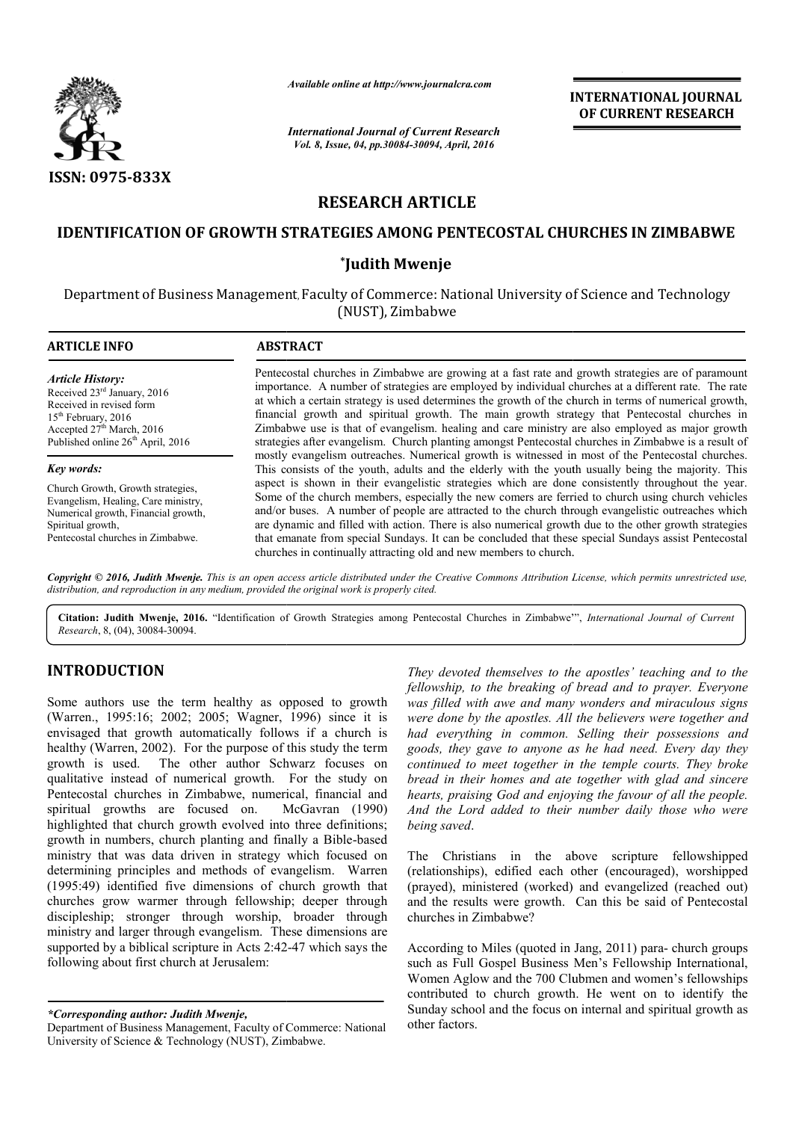

# **RESEARCH ARTICLE**

# **IDENTIFICATION OF GROWTH STRATEGIES AMONG P PENTECOSTAL CHURCHES IN ZIMBABWE ENTECOSTAL**

# **\*Judith Mwenje**

|                                                                                                                                                                                                                                                                                                                                                                                                                                                                                                                                                                                                                                                                                                                                                                                                                                                                                                                                                                                                                                                                                                                                    | Available online at http://www.journalcra.com                                                                                                                                                                                                                                                                                                                                                                                                                                                                                                                                                                                                                                                                                                                                                                | <b>INTERNATIONAL JOURNAL</b><br>OF CURRENT RESEARCH |                                                                                                                                                                                                                                                                                                                                                                                                                                                                                                                                                                                                                                                                                                                                                                                                                                                                                                                                                                                                                                                                                                                                                          |  |  |
|------------------------------------------------------------------------------------------------------------------------------------------------------------------------------------------------------------------------------------------------------------------------------------------------------------------------------------------------------------------------------------------------------------------------------------------------------------------------------------------------------------------------------------------------------------------------------------------------------------------------------------------------------------------------------------------------------------------------------------------------------------------------------------------------------------------------------------------------------------------------------------------------------------------------------------------------------------------------------------------------------------------------------------------------------------------------------------------------------------------------------------|--------------------------------------------------------------------------------------------------------------------------------------------------------------------------------------------------------------------------------------------------------------------------------------------------------------------------------------------------------------------------------------------------------------------------------------------------------------------------------------------------------------------------------------------------------------------------------------------------------------------------------------------------------------------------------------------------------------------------------------------------------------------------------------------------------------|-----------------------------------------------------|----------------------------------------------------------------------------------------------------------------------------------------------------------------------------------------------------------------------------------------------------------------------------------------------------------------------------------------------------------------------------------------------------------------------------------------------------------------------------------------------------------------------------------------------------------------------------------------------------------------------------------------------------------------------------------------------------------------------------------------------------------------------------------------------------------------------------------------------------------------------------------------------------------------------------------------------------------------------------------------------------------------------------------------------------------------------------------------------------------------------------------------------------------|--|--|
|                                                                                                                                                                                                                                                                                                                                                                                                                                                                                                                                                                                                                                                                                                                                                                                                                                                                                                                                                                                                                                                                                                                                    | <b>International Journal of Current Research</b><br>Vol. 8, Issue, 04, pp.30084-30094, April, 2016                                                                                                                                                                                                                                                                                                                                                                                                                                                                                                                                                                                                                                                                                                           |                                                     |                                                                                                                                                                                                                                                                                                                                                                                                                                                                                                                                                                                                                                                                                                                                                                                                                                                                                                                                                                                                                                                                                                                                                          |  |  |
| <b>ISSN: 0975-833X</b>                                                                                                                                                                                                                                                                                                                                                                                                                                                                                                                                                                                                                                                                                                                                                                                                                                                                                                                                                                                                                                                                                                             |                                                                                                                                                                                                                                                                                                                                                                                                                                                                                                                                                                                                                                                                                                                                                                                                              |                                                     |                                                                                                                                                                                                                                                                                                                                                                                                                                                                                                                                                                                                                                                                                                                                                                                                                                                                                                                                                                                                                                                                                                                                                          |  |  |
|                                                                                                                                                                                                                                                                                                                                                                                                                                                                                                                                                                                                                                                                                                                                                                                                                                                                                                                                                                                                                                                                                                                                    |                                                                                                                                                                                                                                                                                                                                                                                                                                                                                                                                                                                                                                                                                                                                                                                                              | <b>RESEARCH ARTICLE</b>                             |                                                                                                                                                                                                                                                                                                                                                                                                                                                                                                                                                                                                                                                                                                                                                                                                                                                                                                                                                                                                                                                                                                                                                          |  |  |
|                                                                                                                                                                                                                                                                                                                                                                                                                                                                                                                                                                                                                                                                                                                                                                                                                                                                                                                                                                                                                                                                                                                                    |                                                                                                                                                                                                                                                                                                                                                                                                                                                                                                                                                                                                                                                                                                                                                                                                              |                                                     | <b>IDENTIFICATION OF GROWTH STRATEGIES AMONG PENTECOSTAL CHURCHES IN ZIMBABWE</b>                                                                                                                                                                                                                                                                                                                                                                                                                                                                                                                                                                                                                                                                                                                                                                                                                                                                                                                                                                                                                                                                        |  |  |
|                                                                                                                                                                                                                                                                                                                                                                                                                                                                                                                                                                                                                                                                                                                                                                                                                                                                                                                                                                                                                                                                                                                                    | *Judith Mwenje                                                                                                                                                                                                                                                                                                                                                                                                                                                                                                                                                                                                                                                                                                                                                                                               |                                                     |                                                                                                                                                                                                                                                                                                                                                                                                                                                                                                                                                                                                                                                                                                                                                                                                                                                                                                                                                                                                                                                                                                                                                          |  |  |
|                                                                                                                                                                                                                                                                                                                                                                                                                                                                                                                                                                                                                                                                                                                                                                                                                                                                                                                                                                                                                                                                                                                                    |                                                                                                                                                                                                                                                                                                                                                                                                                                                                                                                                                                                                                                                                                                                                                                                                              | (NUST), Zimbabwe                                    | Department of Business Management, Faculty of Commerce: National University of Science and Technology                                                                                                                                                                                                                                                                                                                                                                                                                                                                                                                                                                                                                                                                                                                                                                                                                                                                                                                                                                                                                                                    |  |  |
| <b>ARTICLE INFO</b>                                                                                                                                                                                                                                                                                                                                                                                                                                                                                                                                                                                                                                                                                                                                                                                                                                                                                                                                                                                                                                                                                                                | <b>ABSTRACT</b>                                                                                                                                                                                                                                                                                                                                                                                                                                                                                                                                                                                                                                                                                                                                                                                              |                                                     |                                                                                                                                                                                                                                                                                                                                                                                                                                                                                                                                                                                                                                                                                                                                                                                                                                                                                                                                                                                                                                                                                                                                                          |  |  |
| <b>Article History:</b><br>Received 23 <sup>rd</sup> January, 2016<br>Received in revised form<br>15 <sup>th</sup> February, 2016<br>Accepted 27 <sup>th</sup> March, 2016<br>Published online 26 <sup>th</sup> April, 2016                                                                                                                                                                                                                                                                                                                                                                                                                                                                                                                                                                                                                                                                                                                                                                                                                                                                                                        | Pentecostal churches in Zimbabwe are growing at a fast rate and growth strategies are of paramount<br>importance. A number of strategies are employed by individual churches at a different rate. The rate<br>at which a certain strategy is used determines the growth of the church in terms of numerical growth,<br>financial growth and spiritual growth. The main growth strategy that Pentecostal churches in<br>Zimbabwe use is that of evangelism. healing and care ministry are also employed as major growth<br>strategies after evangelism. Church planting amongst Pentecostal churches in Zimbabwe is a result of                                                                                                                                                                               |                                                     |                                                                                                                                                                                                                                                                                                                                                                                                                                                                                                                                                                                                                                                                                                                                                                                                                                                                                                                                                                                                                                                                                                                                                          |  |  |
| Key words:<br>Church Growth, Growth strategies,<br>Evangelism, Healing, Care ministry,<br>Numerical growth, Financial growth,<br>Spiritual growth,<br>Pentecostal churches in Zimbabwe.                                                                                                                                                                                                                                                                                                                                                                                                                                                                                                                                                                                                                                                                                                                                                                                                                                                                                                                                            | mostly evangelism outreaches. Numerical growth is witnessed in most of the Pentecostal churches.<br>This consists of the youth, adults and the elderly with the youth usually being the majority. This<br>aspect is shown in their evangelistic strategies which are done consistently throughout the year.<br>Some of the church members, especially the new comers are ferried to church using church vehicles<br>and/or buses. A number of people are attracted to the church through evangelistic outreaches which<br>are dynamic and filled with action. There is also numerical growth due to the other growth strategies<br>that emanate from special Sundays. It can be concluded that these special Sundays assist Pentecostal<br>churches in continually attracting old and new members to church. |                                                     |                                                                                                                                                                                                                                                                                                                                                                                                                                                                                                                                                                                                                                                                                                                                                                                                                                                                                                                                                                                                                                                                                                                                                          |  |  |
| distribution, and reproduction in any medium, provided the original work is properly cited.                                                                                                                                                                                                                                                                                                                                                                                                                                                                                                                                                                                                                                                                                                                                                                                                                                                                                                                                                                                                                                        |                                                                                                                                                                                                                                                                                                                                                                                                                                                                                                                                                                                                                                                                                                                                                                                                              |                                                     | Copyright © 2016, Judith Mwenje. This is an open access article distributed under the Creative Commons Attribution License, which permits unrestricted use,                                                                                                                                                                                                                                                                                                                                                                                                                                                                                                                                                                                                                                                                                                                                                                                                                                                                                                                                                                                              |  |  |
| Research, 8, (04), 30084-30094.                                                                                                                                                                                                                                                                                                                                                                                                                                                                                                                                                                                                                                                                                                                                                                                                                                                                                                                                                                                                                                                                                                    |                                                                                                                                                                                                                                                                                                                                                                                                                                                                                                                                                                                                                                                                                                                                                                                                              |                                                     | Citation: Judith Mwenje, 2016. "Identification of Growth Strategies among Pentecostal Churches in Zimbabwe"', International Journal of Current                                                                                                                                                                                                                                                                                                                                                                                                                                                                                                                                                                                                                                                                                                                                                                                                                                                                                                                                                                                                           |  |  |
| <b>INTRODUCTION</b><br>Some authors use the term healthy as opposed to growth<br>(Warren., 1995:16; 2002; 2005; Wagner, 1996) since it is<br>envisaged that growth automatically follows if a church is<br>healthy (Warren, 2002). For the purpose of this study the term<br>growth is used. The other author Schwarz focuses on<br>qualitative instead of numerical growth. For the study on<br>Pentecostal churches in Zimbabwe, numerical, financial and<br>spiritual growths are focused on.<br>highlighted that church growth evolved into three definitions;<br>growth in numbers, church planting and finally a Bible-based<br>ministry that was data driven in strategy which focused on<br>determining principles and methods of evangelism. Warren<br>(1995:49) identified five dimensions of church growth that<br>churches grow warmer through fellowship; deeper through<br>discipleship; stronger through worship, broader through<br>ministry and larger through evangelism. These dimensions are<br>supported by a biblical scripture in Acts 2:42-47 which says the<br>following about first church at Jerusalem: | McGavran (1990)                                                                                                                                                                                                                                                                                                                                                                                                                                                                                                                                                                                                                                                                                                                                                                                              | being saved.<br>The<br>churches in Zimbabwe?        | They devoted themselves to the apostles' teaching and to the<br>fellowship, to the breaking of bread and to prayer. Everyone<br>was filled with awe and many wonders and miraculous signs<br>were done by the apostles. All the believers were together and<br>had everything in common. Selling their possessions and<br>goods, they gave to anyone as he had need. Every day they<br>continued to meet together in the temple courts. They broke<br>bread in their homes and ate together with glad and sincere<br>hearts, praising God and enjoying the favour of all the people.<br>And the Lord added to their number daily those who were<br>Christians in the above scripture fellowshipped<br>(relationships), edified each other (encouraged), worshipped<br>(prayed), ministered (worked) and evangelized (reached out)<br>and the results were growth. Can this be said of Pentecostal<br>According to Miles (quoted in Jang, 2011) para-church groups<br>such as Full Gospel Business Men's Fellowship International,<br>Women Aglow and the 700 Clubmen and women's fellowships<br>contributed to church growth. He went on to identify the |  |  |
| *Corresponding author: Indith Mwenie                                                                                                                                                                                                                                                                                                                                                                                                                                                                                                                                                                                                                                                                                                                                                                                                                                                                                                                                                                                                                                                                                               |                                                                                                                                                                                                                                                                                                                                                                                                                                                                                                                                                                                                                                                                                                                                                                                                              |                                                     | Sunday school and the focus on internal and spiritual growth as                                                                                                                                                                                                                                                                                                                                                                                                                                                                                                                                                                                                                                                                                                                                                                                                                                                                                                                                                                                                                                                                                          |  |  |

## **INTRODUCTION**

According to Miles (quoted in Jang, 2011) para such as Full Gospel Business Men's Fellowship International, Women Aglow and the 700 Clubmen and women's fellowships contributed to church growth. He went on to identify the Sunday school and the focus on internal and spiritual growth as other factors.

*<sup>\*</sup>Corresponding author: Judith Mwenje,*

Department of Business Management, Faculty of Commerce: National University of Science & Technology (NUST), Zimbabwe.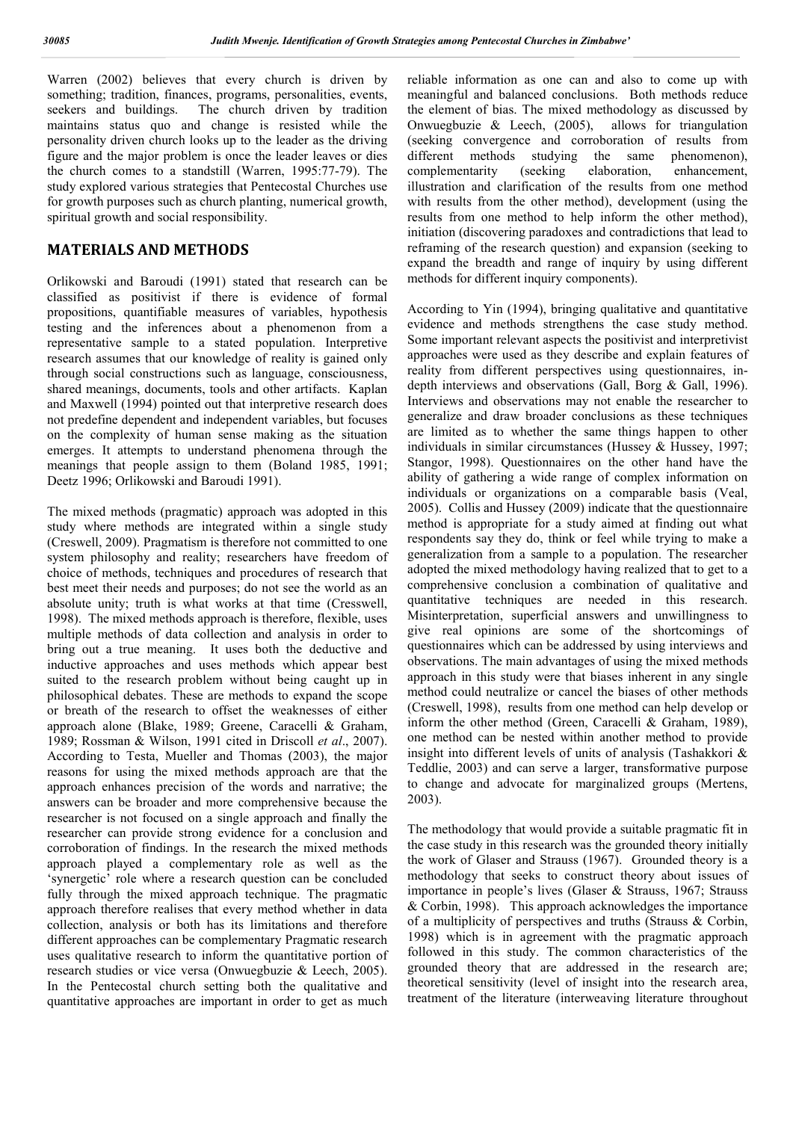Warren (2002) believes that every church is driven by something; tradition, finances, programs, personalities, events, seekers and buildings. The church driven by tradition The church driven by tradition maintains status quo and change is resisted while the personality driven church looks up to the leader as the driving figure and the major problem is once the leader leaves or dies the church comes to a standstill (Warren, 1995:77-79). The study explored various strategies that Pentecostal Churches use for growth purposes such as church planting, numerical growth, spiritual growth and social responsibility.

## **MATERIALS AND METHODS**

Orlikowski and Baroudi (1991) stated that research can be classified as positivist if there is evidence of formal propositions, quantifiable measures of variables, hypothesis testing and the inferences about a phenomenon from a representative sample to a stated population. Interpretive research assumes that our knowledge of reality is gained only through social constructions such as language, consciousness, shared meanings, documents, tools and other artifacts. Kaplan and Maxwell (1994) pointed out that interpretive research does not predefine dependent and independent variables, but focuses on the complexity of human sense making as the situation emerges. It attempts to understand phenomena through the meanings that people assign to them (Boland 1985, 1991; Deetz 1996; Orlikowski and Baroudi 1991).

The mixed methods (pragmatic) approach was adopted in this study where methods are integrated within a single study (Creswell, 2009). Pragmatism is therefore not committed to one system philosophy and reality; researchers have freedom of choice of methods, techniques and procedures of research that best meet their needs and purposes; do not see the world as an absolute unity; truth is what works at that time (Cresswell, 1998). The mixed methods approach is therefore, flexible, uses multiple methods of data collection and analysis in order to bring out a true meaning. It uses both the deductive and inductive approaches and uses methods which appear best suited to the research problem without being caught up in philosophical debates. These are methods to expand the scope or breath of the research to offset the weaknesses of either approach alone (Blake, 1989; Greene, Caracelli & Graham, 1989; Rossman & Wilson, 1991 cited in Driscoll *et al*., 2007). According to Testa, Mueller and Thomas (2003), the major reasons for using the mixed methods approach are that the approach enhances precision of the words and narrative; the answers can be broader and more comprehensive because the researcher is not focused on a single approach and finally the researcher can provide strong evidence for a conclusion and corroboration of findings. In the research the mixed methods approach played a complementary role as well as the 'synergetic' role where a research question can be concluded fully through the mixed approach technique. The pragmatic approach therefore realises that every method whether in data collection, analysis or both has its limitations and therefore different approaches can be complementary Pragmatic research uses qualitative research to inform the quantitative portion of research studies or vice versa (Onwuegbuzie & Leech, 2005). In the Pentecostal church setting both the qualitative and quantitative approaches are important in order to get as much

reliable information as one can and also to come up with meaningful and balanced conclusions. Both methods reduce the element of bias. The mixed methodology as discussed by Onwuegbuzie & Leech, (2005), allows for triangulation (seeking convergence and corroboration of results from different methods studying the same phenomenon), complementarity (seeking elaboration, enhancement, illustration and clarification of the results from one method with results from the other method), development (using the results from one method to help inform the other method), initiation (discovering paradoxes and contradictions that lead to reframing of the research question) and expansion (seeking to expand the breadth and range of inquiry by using different methods for different inquiry components).

According to Yin (1994), bringing qualitative and quantitative evidence and methods strengthens the case study method. Some important relevant aspects the positivist and interpretivist approaches were used as they describe and explain features of reality from different perspectives using questionnaires, indepth interviews and observations (Gall, Borg & Gall, 1996). Interviews and observations may not enable the researcher to generalize and draw broader conclusions as these techniques are limited as to whether the same things happen to other individuals in similar circumstances (Hussey  $\&$  Hussey, 1997; Stangor, 1998). Questionnaires on the other hand have the ability of gathering a wide range of complex information on individuals or organizations on a comparable basis (Veal, 2005). Collis and Hussey (2009) indicate that the questionnaire method is appropriate for a study aimed at finding out what respondents say they do, think or feel while trying to make a generalization from a sample to a population. The researcher adopted the mixed methodology having realized that to get to a comprehensive conclusion a combination of qualitative and quantitative techniques are needed in this research. Misinterpretation, superficial answers and unwillingness to give real opinions are some of the shortcomings of questionnaires which can be addressed by using interviews and observations. The main advantages of using the mixed methods approach in this study were that biases inherent in any single method could neutralize or cancel the biases of other methods (Creswell, 1998), results from one method can help develop or inform the other method (Green, Caracelli & Graham, 1989), one method can be nested within another method to provide insight into different levels of units of analysis (Tashakkori & Teddlie, 2003) and can serve a larger, transformative purpose to change and advocate for marginalized groups (Mertens, 2003).

The methodology that would provide a suitable pragmatic fit in the case study in this research was the grounded theory initially the work of Glaser and Strauss (1967). Grounded theory is a methodology that seeks to construct theory about issues of importance in people's lives (Glaser & Strauss, 1967; Strauss & Corbin, 1998). This approach acknowledges the importance of a multiplicity of perspectives and truths (Strauss & Corbin, 1998) which is in agreement with the pragmatic approach followed in this study. The common characteristics of the grounded theory that are addressed in the research are; theoretical sensitivity (level of insight into the research area, treatment of the literature (interweaving literature throughout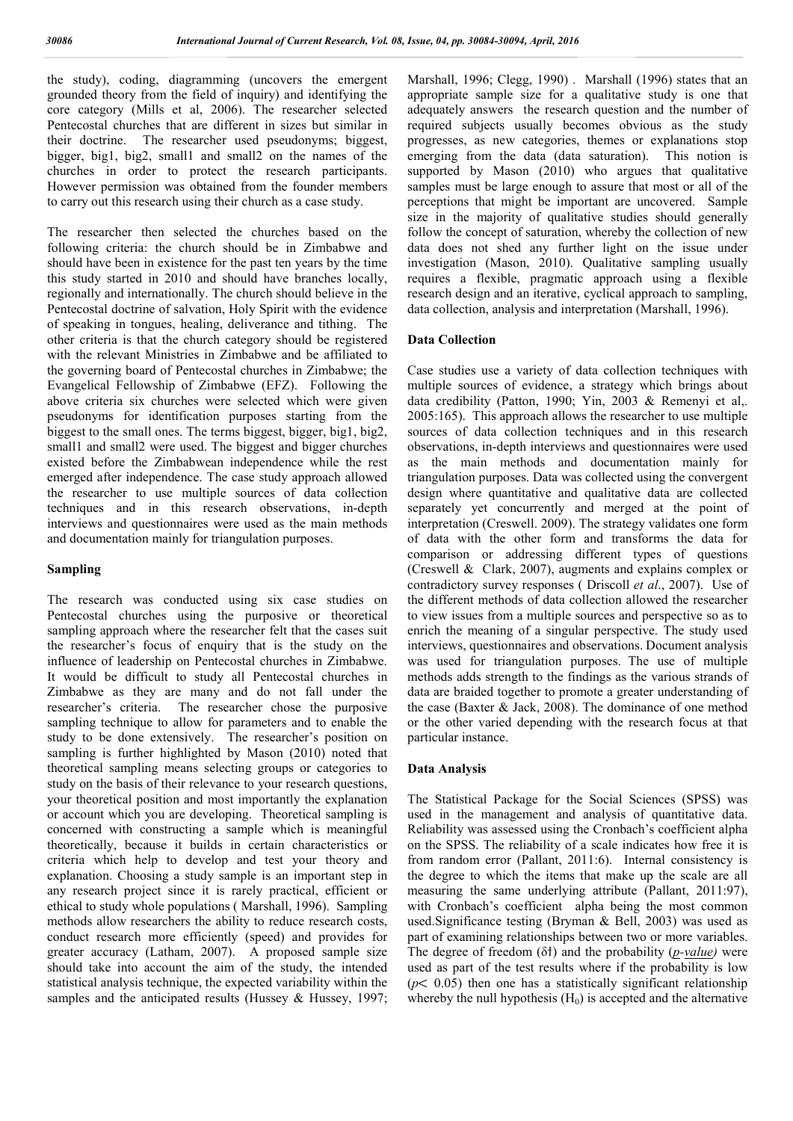the study), coding, diagramming (uncovers the emergent grounded theory from the field of inquiry) and identifying the core category (Mills et al, 2006). The researcher selected Pentecostal churches that are different in sizes but similar in their doctrine. The researcher used pseudonyms; biggest, bigger, big1, big2, small1 and small2 on the names of the churches in order to protect the research participants. However permission was obtained from the founder members to carry out this research using their church as a case study.

The researcher then selected the churches based on the following criteria: the church should be in Zimbabwe and should have been in existence for the past ten years by the time this study started in 2010 and should have branches locally, regionally and internationally. The church should believe in the Pentecostal doctrine of salvation, Holy Spirit with the evidence of speaking in tongues, healing, deliverance and tithing. The other criteria is that the church category should be registered with the relevant Ministries in Zimbabwe and be affiliated to the governing board of Pentecostal churches in Zimbabwe; the Evangelical Fellowship of Zimbabwe (EFZ). Following the above criteria six churches were selected which were given pseudonyms for identification purposes starting from the biggest to the small ones. The terms biggest, bigger, big1, big2, small1 and small2 were used. The biggest and bigger churches existed before the Zimbabwean independence while the rest emerged after independence. The case study approach allowed the researcher to use multiple sources of data collection techniques and in this research observations, in-depth interviews and questionnaires were used as the main methods and documentation mainly for triangulation purposes.

### **Sampling**

The research was conducted using six case studies on Pentecostal churches using the purposive or theoretical sampling approach where the researcher felt that the cases suit the researcher's focus of enquiry that is the study on the influence of leadership on Pentecostal churches in Zimbabwe. It would be difficult to study all Pentecostal churches in Zimbabwe as they are many and do not fall under the researcher's criteria. The researcher chose the purposive sampling technique to allow for parameters and to enable the study to be done extensively. The researcher's position on sampling is further highlighted by Mason (2010) noted that theoretical sampling means selecting groups or categories to study on the basis of their relevance to your research questions, your theoretical position and most importantly the explanation or account which you are developing. Theoretical sampling is concerned with constructing a sample which is meaningful theoretically, because it builds in certain characteristics or criteria which help to develop and test your theory and explanation. Choosing a study sample is an important step in any research project since it is rarely practical, efficient or ethical to study whole populations ( Marshall, 1996). Sampling methods allow researchers the ability to reduce research costs, conduct research more efficiently (speed) and provides for greater accuracy (Latham, 2007). A proposed sample size should take into account the aim of the study, the intended statistical analysis technique, the expected variability within the samples and the anticipated results (Hussey & Hussey, 1997;

Marshall, 1996; Clegg, 1990) . Marshall (1996) states that an appropriate sample size for a qualitative study is one that adequately answers the research question and the number of required subjects usually becomes obvious as the study progresses, as new categories, themes or explanations stop emerging from the data (data saturation). This notion is supported by Mason  $(2010)$  who argues that qualitative samples must be large enough to assure that most or all of the perceptions that might be important are uncovered. Sample size in the majority of qualitative studies should generally follow the concept of saturation, whereby the collection of new data does not shed any further light on the issue under investigation (Mason, 2010). Qualitative sampling usually requires a flexible, pragmatic approach using a flexible research design and an iterative, cyclical approach to sampling, data collection, analysis and interpretation (Marshall, 1996).

### **Data Collection**

Case studies use a variety of data collection techniques with multiple sources of evidence, a strategy which brings about data credibility (Patton, 1990; Yin, 2003 & Remenyi et al,. 2005:165). This approach allows the researcher to use multiple sources of data collection techniques and in this research observations, in-depth interviews and questionnaires were used as the main methods and documentation mainly for triangulation purposes. Data was collected using the convergent design where quantitative and qualitative data are collected separately yet concurrently and merged at the point of interpretation (Creswell. 2009). The strategy validates one form of data with the other form and transforms the data for comparison or addressing different types of questions (Creswell & Clark, 2007), augments and explains complex or contradictory survey responses ( Driscoll *et al*., 2007). Use of the different methods of data collection allowed the researcher to view issues from a multiple sources and perspective so as to enrich the meaning of a singular perspective. The study used interviews, questionnaires and observations. Document analysis was used for triangulation purposes. The use of multiple methods adds strength to the findings as the various strands of data are braided together to promote a greater understanding of the case (Baxter & Jack, 2008). The dominance of one method or the other varied depending with the research focus at that particular instance.

### **Data Analysis**

The Statistical Package for the Social Sciences (SPSS) was used in the management and analysis of quantitative data. Reliability was assessed using the Cronbach's coefficient alpha on the SPSS. The reliability of a scale indicates how free it is from random error (Pallant, 2011:6). Internal consistency is the degree to which the items that make up the scale are all measuring the same underlying attribute (Pallant, 2011:97), with Cronbach's coefficient alpha being the most common used.Significance testing (Bryman & Bell, 2003) was used as part of examining relationships between two or more variables. The degree of freedom (δϯ) and the probability (*p-value)* were used as part of the test results where if the probability is low  $(p< 0.05)$  then one has a statistically significant relationship whereby the null hypothesis  $(H_0)$  is accepted and the alternative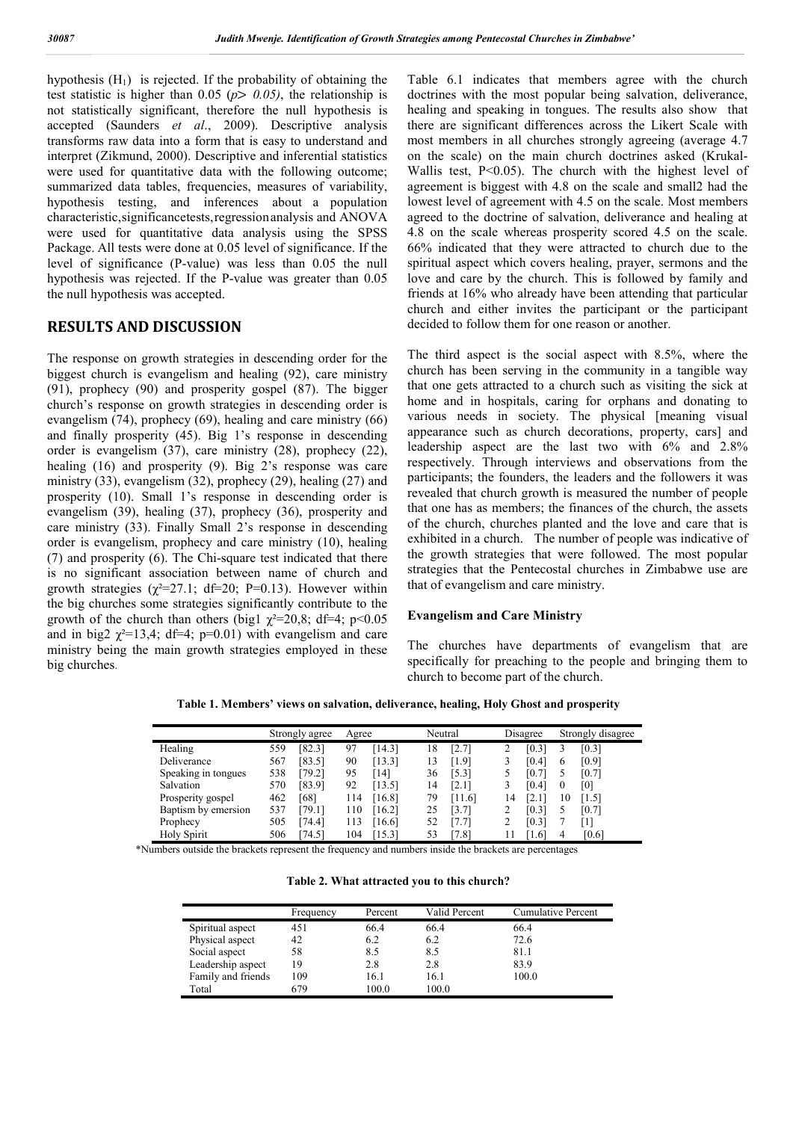hypothesis  $(H_1)$  is rejected. If the probability of obtaining the test statistic is higher than 0.05 ( $p$  > 0.05), the relationship is not statistically significant, therefore the null hypothesis is accepted (Saunders *et al*., 2009). Descriptive analysis transforms raw data into a form that is easy to understand and interpret (Zikmund, 2000). Descriptive and inferential statistics were used for quantitative data with the following outcome; summarized data tables, frequencies, measures of variability, hypothesis testing, and inferences about a population characteristic,significancetests,regressionanalysis and ANOVA were used for quantitative data analysis using the SPSS Package. All tests were done at 0.05 level of significance. If the level of significance (P-value) was less than 0.05 the null hypothesis was rejected. If the P-value was greater than 0.05 the null hypothesis was accepted.

## **RESULTS AND DISCUSSION**

The response on growth strategies in descending order for the biggest church is evangelism and healing (92), care ministry (91), prophecy (90) and prosperity gospel (87). The bigger church's response on growth strategies in descending order is evangelism (74), prophecy (69), healing and care ministry (66) and finally prosperity (45). Big 1's response in descending order is evangelism (37), care ministry (28), prophecy (22), healing (16) and prosperity (9). Big 2's response was care ministry (33), evangelism (32), prophecy (29), healing (27) and prosperity (10). Small 1's response in descending order is evangelism (39), healing (37), prophecy (36), prosperity and care ministry (33). Finally Small 2's response in descending order is evangelism, prophecy and care ministry (10), healing (7) and prosperity (6). The Chi-square test indicated that there is no significant association between name of church and growth strategies  $(\chi^2=27.1; df=20; P=0.13)$ . However within the big churches some strategies significantly contribute to the growth of the church than others (big1  $\chi^2$ =20,8; df=4; p<0.05 and in big2  $\gamma^2=13.4$ ; df=4; p=0.01) with evangelism and care ministry being the main growth strategies employed in these big churches.

Table 6.1 indicates that members agree with the church doctrines with the most popular being salvation, deliverance, healing and speaking in tongues. The results also show that there are significant differences across the Likert Scale with most members in all churches strongly agreeing (average 4.7 on the scale) on the main church doctrines asked (Krukal-Wallis test, P<0.05). The church with the highest level of agreement is biggest with 4.8 on the scale and small2 had the lowest level of agreement with 4.5 on the scale. Most members agreed to the doctrine of salvation, deliverance and healing at 4.8 on the scale whereas prosperity scored 4.5 on the scale. 66% indicated that they were attracted to church due to the spiritual aspect which covers healing, prayer, sermons and the love and care by the church. This is followed by family and friends at 16% who already have been attending that particular church and either invites the participant or the participant decided to follow them for one reason or another.

The third aspect is the social aspect with 8.5%, where the church has been serving in the community in a tangible way that one gets attracted to a church such as visiting the sick at home and in hospitals, caring for orphans and donating to various needs in society. The physical [meaning visual appearance such as church decorations, property, cars] and leadership aspect are the last two with 6% and 2.8% respectively. Through interviews and observations from the participants; the founders, the leaders and the followers it was revealed that church growth is measured the number of people that one has as members; the finances of the church, the assets of the church, churches planted and the love and care that is exhibited in a church. The number of people was indicative of the growth strategies that were followed. The most popular strategies that the Pentecostal churches in Zimbabwe use are that of evangelism and care ministry.

#### **Evangelism and Care Ministry**

The churches have departments of evangelism that are specifically for preaching to the people and bringing them to church to become part of the church.

**Table 1. Members' views on salvation, deliverance, healing, Holy Ghost and prosperity**

|                     |     | Strongly agree | Agree |          | Neutral |        |    | Disagree |    | Strongly disagree |
|---------------------|-----|----------------|-------|----------|---------|--------|----|----------|----|-------------------|
| Healing             | 559 | [82.3]         | 97    | $14.3$ ] | 18      | [2.7]  |    | [0.3]    |    | [0.3]             |
| Deliverance         | 567 | [83.5]         | 90    | [13.3]   | 13      | [1.9]  |    | [0.4]    | 6  | [0.9]             |
| Speaking in tongues | 538 | [79.2]         | 95    | 141      | 36      | [5.3]  |    | [0.7     |    | [0.7]             |
| Salvation           | 570 | [83.9]         | 92    | [13.5]   | 14      | [2.1]  |    | [0.4]    |    | [0]               |
| Prosperity gospel   | 462 | [68]           | 114   | [16.8]   | 79      | [11.6] | 14 | 2.1      | 10 | 1.5               |
| Baptism by emersion | 537 | [79.1]         | 110   | [16.2]   | 25      | [3.7]  |    | [0.3]    |    | [0.7]             |
| Prophecy            | 505 | [74.4]         | 113   | 16.61    | 52      | [7.7]  |    | [0.3]    |    | 1                 |
| <b>Holy Spirit</b>  | 506 | 74.5           | 104   | 15.3     |         | 7.81   |    | 1.6      | 4  | [0.6]             |

\*Numbers outside the brackets represent the frequency and numbers inside the brackets are percentages

**Table 2. What attracted you to this church?**

|                    | Frequency | Percent | Valid Percent | Cumulative Percent |
|--------------------|-----------|---------|---------------|--------------------|
| Spiritual aspect   | 451       | 66.4    | 66.4          | 66.4               |
| Physical aspect    | 42        | 6.2     | 6.2           | 72.6               |
| Social aspect      | 58        | 8.5     | 8.5           | 81.1               |
| Leadership aspect  | 19        | 2.8     | 2.8           | 83.9               |
| Family and friends | 109       | 16.1    | 16.1          | 100.0              |
| Total              | 679       | 100.0   | 100.0         |                    |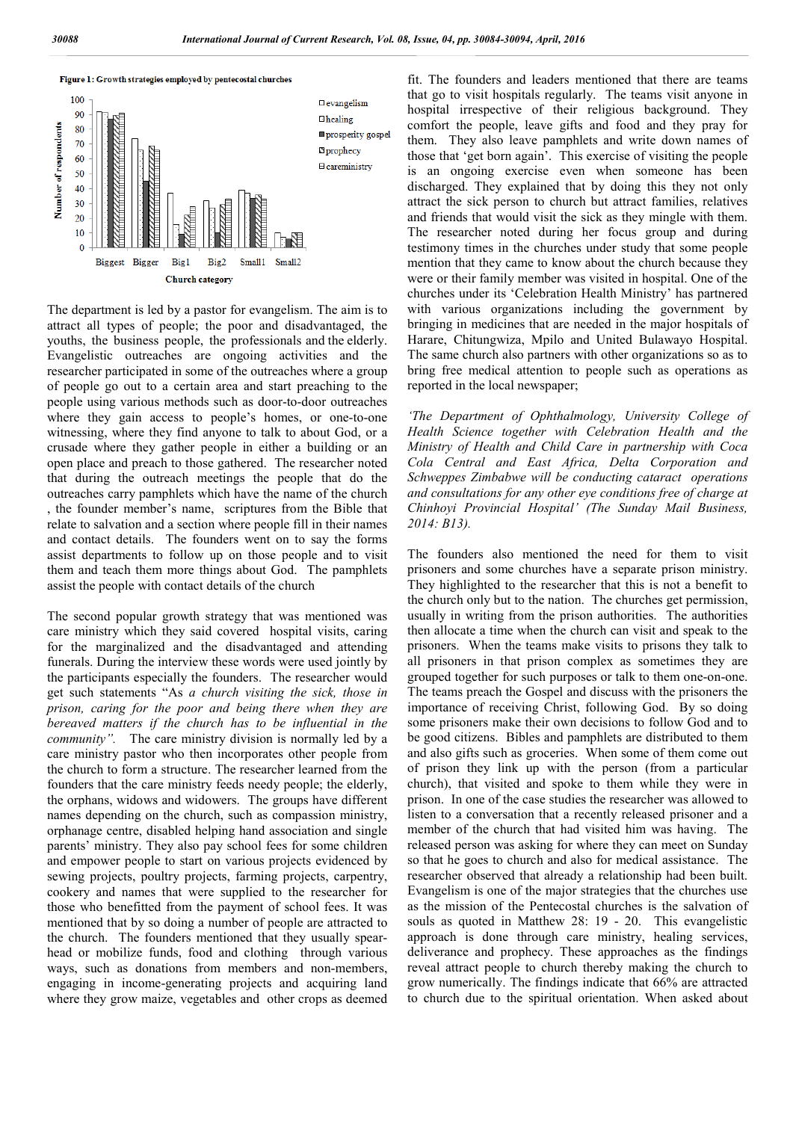



The department is led by a pastor for evangelism. The aim is to attract all types of people; the poor and disadvantaged, the youths, the business people, the professionals and the elderly. Evangelistic outreaches are ongoing activities and the researcher participated in some of the outreaches where a group of people go out to a certain area and start preaching to the people using various methods such as door-to-door outreaches where they gain access to people's homes, or one-to-one witnessing, where they find anyone to talk to about God, or a crusade where they gather people in either a building or an open place and preach to those gathered. The researcher noted that during the outreach meetings the people that do the outreaches carry pamphlets which have the name of the church , the founder member's name, scriptures from the Bible that relate to salvation and a section where people fill in their names and contact details. The founders went on to say the forms assist departments to follow up on those people and to visit them and teach them more things about God. The pamphlets assist the people with contact details of the church

The second popular growth strategy that was mentioned was care ministry which they said covered hospital visits, caring for the marginalized and the disadvantaged and attending funerals. During the interview these words were used jointly by the participants especially the founders. The researcher would get such statements "As *a church visiting the sick, those in prison, caring for the poor and being there when they are bereaved matters if the church has to be influential in the community".* The care ministry division is normally led by a care ministry pastor who then incorporates other people from the church to form a structure. The researcher learned from the founders that the care ministry feeds needy people; the elderly, the orphans, widows and widowers. The groups have different names depending on the church, such as compassion ministry, orphanage centre, disabled helping hand association and single parents' ministry. They also pay school fees for some children and empower people to start on various projects evidenced by sewing projects, poultry projects, farming projects, carpentry, cookery and names that were supplied to the researcher for those who benefitted from the payment of school fees. It was mentioned that by so doing a number of people are attracted to the church. The founders mentioned that they usually spearhead or mobilize funds, food and clothing through various ways, such as donations from members and non-members, engaging in income-generating projects and acquiring land where they grow maize, vegetables and other crops as deemed

fit. The founders and leaders mentioned that there are teams that go to visit hospitals regularly. The teams visit anyone in hospital irrespective of their religious background. They comfort the people, leave gifts and food and they pray for them. They also leave pamphlets and write down names of those that 'get born again'. This exercise of visiting the people is an ongoing exercise even when someone has been discharged. They explained that by doing this they not only attract the sick person to church but attract families, relatives and friends that would visit the sick as they mingle with them. The researcher noted during her focus group and during testimony times in the churches under study that some people mention that they came to know about the church because they were or their family member was visited in hospital. One of the churches under its 'Celebration Health Ministry' has partnered with various organizations including the government by bringing in medicines that are needed in the major hospitals of Harare, Chitungwiza, Mpilo and United Bulawayo Hospital. The same church also partners with other organizations so as to bring free medical attention to people such as operations as reported in the local newspaper;

*'The Department of Ophthalmology, University College of Health Science together with Celebration Health and the Ministry of Health and Child Care in partnership with Coca Cola Central and East Africa, Delta Corporation and Schweppes Zimbabwe will be conducting cataract operations and consultations for any other eye conditions free of charge at Chinhoyi Provincial Hospital' (The Sunday Mail Business, 2014: B13).*

The founders also mentioned the need for them to visit prisoners and some churches have a separate prison ministry. They highlighted to the researcher that this is not a benefit to the church only but to the nation. The churches get permission, usually in writing from the prison authorities. The authorities then allocate a time when the church can visit and speak to the prisoners. When the teams make visits to prisons they talk to all prisoners in that prison complex as sometimes they are grouped together for such purposes or talk to them one-on-one. The teams preach the Gospel and discuss with the prisoners the importance of receiving Christ, following God. By so doing some prisoners make their own decisions to follow God and to be good citizens. Bibles and pamphlets are distributed to them and also gifts such as groceries. When some of them come out of prison they link up with the person (from a particular church), that visited and spoke to them while they were in prison. In one of the case studies the researcher was allowed to listen to a conversation that a recently released prisoner and a member of the church that had visited him was having. The released person was asking for where they can meet on Sunday so that he goes to church and also for medical assistance. The researcher observed that already a relationship had been built. Evangelism is one of the major strategies that the churches use as the mission of the Pentecostal churches is the salvation of souls as quoted in Matthew 28: 19 - 20. This evangelistic approach is done through care ministry, healing services, deliverance and prophecy. These approaches as the findings reveal attract people to church thereby making the church to grow numerically. The findings indicate that 66% are attracted to church due to the spiritual orientation. When asked about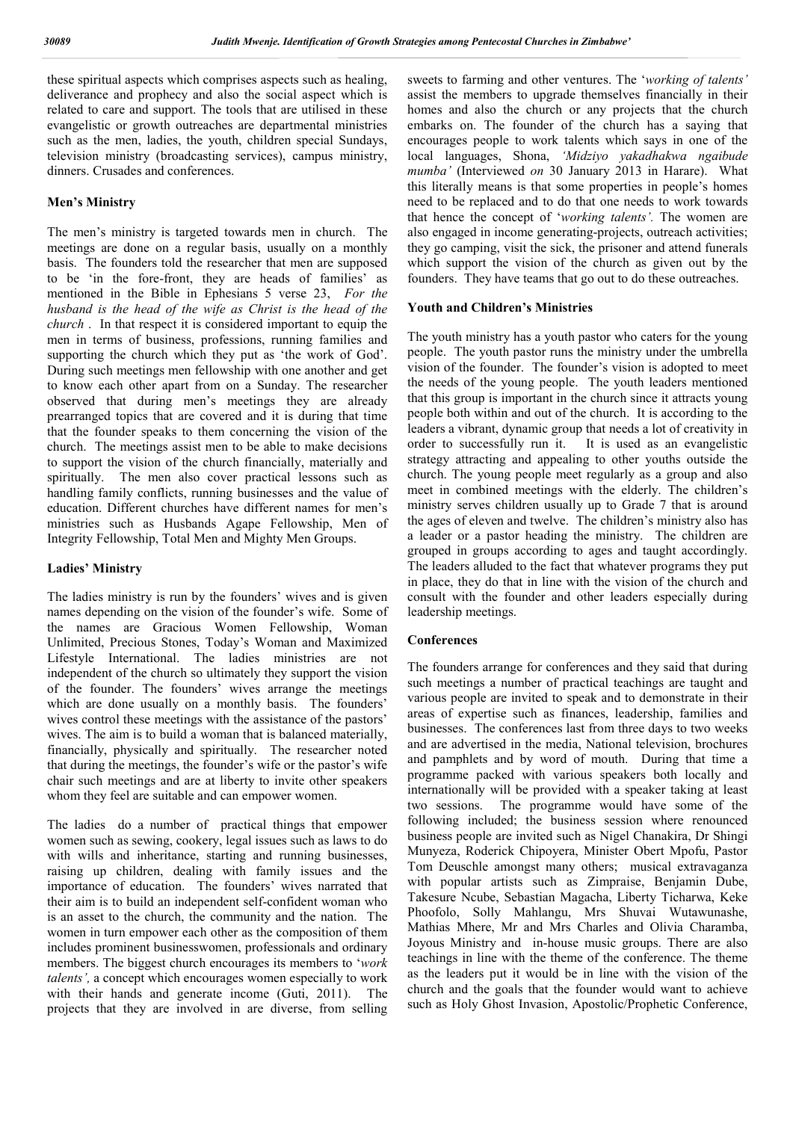these spiritual aspects which comprises aspects such as healing, deliverance and prophecy and also the social aspect which is related to care and support. The tools that are utilised in these evangelistic or growth outreaches are departmental ministries such as the men, ladies, the youth, children special Sundays, television ministry (broadcasting services), campus ministry, dinners. Crusades and conferences.

#### **Men's Ministry**

The men's ministry is targeted towards men in church. The meetings are done on a regular basis, usually on a monthly basis. The founders told the researcher that men are supposed to be 'in the fore-front, they are heads of families' as mentioned in the Bible in Ephesians 5 verse 23, *For the husband is the head of the wife as Christ is the head of the church* . In that respect it is considered important to equip the men in terms of business, professions, running families and supporting the church which they put as 'the work of God'. During such meetings men fellowship with one another and get to know each other apart from on a Sunday. The researcher observed that during men's meetings they are already prearranged topics that are covered and it is during that time that the founder speaks to them concerning the vision of the church. The meetings assist men to be able to make decisions to support the vision of the church financially, materially and spiritually. The men also cover practical lessons such as handling family conflicts, running businesses and the value of education. Different churches have different names for men's ministries such as Husbands Agape Fellowship, Men of Integrity Fellowship, Total Men and Mighty Men Groups.

#### **Ladies' Ministry**

The ladies ministry is run by the founders' wives and is given names depending on the vision of the founder's wife. Some of the names are Gracious Women Fellowship, Woman Unlimited, Precious Stones, Today's Woman and Maximized Lifestyle International. The ladies ministries are not independent of the church so ultimately they support the vision of the founder. The founders' wives arrange the meetings which are done usually on a monthly basis. The founders' wives control these meetings with the assistance of the pastors' wives. The aim is to build a woman that is balanced materially, financially, physically and spiritually. The researcher noted that during the meetings, the founder's wife or the pastor's wife chair such meetings and are at liberty to invite other speakers whom they feel are suitable and can empower women.

The ladies do a number of practical things that empower women such as sewing, cookery, legal issues such as laws to do with wills and inheritance, starting and running businesses, raising up children, dealing with family issues and the importance of education. The founders' wives narrated that their aim is to build an independent self-confident woman who is an asset to the church, the community and the nation. The women in turn empower each other as the composition of them includes prominent businesswomen, professionals and ordinary members. The biggest church encourages its members to '*work talents',* a concept which encourages women especially to work with their hands and generate income (Guti, 2011). The projects that they are involved in are diverse, from selling

sweets to farming and other ventures. The '*working of talents'*  assist the members to upgrade themselves financially in their homes and also the church or any projects that the church embarks on. The founder of the church has a saying that encourages people to work talents which says in one of the local languages, Shona, *'Midziyo yakadhakwa ngaibude mumba'* (Interviewed *on* 30 January 2013 in Harare). What this literally means is that some properties in people's homes need to be replaced and to do that one needs to work towards that hence the concept of '*working talents'.* The women are also engaged in income generating-projects, outreach activities; they go camping, visit the sick, the prisoner and attend funerals which support the vision of the church as given out by the founders. They have teams that go out to do these outreaches.

#### **Youth and Children's Ministries**

The youth ministry has a youth pastor who caters for the young people. The youth pastor runs the ministry under the umbrella vision of the founder. The founder's vision is adopted to meet the needs of the young people. The youth leaders mentioned that this group is important in the church since it attracts young people both within and out of the church. It is according to the leaders a vibrant, dynamic group that needs a lot of creativity in order to successfully run it. It is used as an evangelistic strategy attracting and appealing to other youths outside the church. The young people meet regularly as a group and also meet in combined meetings with the elderly. The children's ministry serves children usually up to Grade 7 that is around the ages of eleven and twelve. The children's ministry also has a leader or a pastor heading the ministry. The children are grouped in groups according to ages and taught accordingly. The leaders alluded to the fact that whatever programs they put in place, they do that in line with the vision of the church and consult with the founder and other leaders especially during leadership meetings.

### **Conferences**

The founders arrange for conferences and they said that during such meetings a number of practical teachings are taught and various people are invited to speak and to demonstrate in their areas of expertise such as finances, leadership, families and businesses. The conferences last from three days to two weeks and are advertised in the media, National television, brochures and pamphlets and by word of mouth. During that time a programme packed with various speakers both locally and internationally will be provided with a speaker taking at least two sessions. The programme would have some of the following included; the business session where renounced business people are invited such as Nigel Chanakira, Dr Shingi Munyeza, Roderick Chipoyera, Minister Obert Mpofu, Pastor Tom Deuschle amongst many others; musical extravaganza with popular artists such as Zimpraise, Benjamin Dube, Takesure Ncube, Sebastian Magacha, Liberty Ticharwa, Keke Phoofolo, Solly Mahlangu, Mrs Shuvai Wutawunashe, Mathias Mhere, Mr and Mrs Charles and Olivia Charamba, Joyous Ministry and in-house music groups. There are also teachings in line with the theme of the conference. The theme as the leaders put it would be in line with the vision of the church and the goals that the founder would want to achieve such as Holy Ghost Invasion, Apostolic/Prophetic Conference,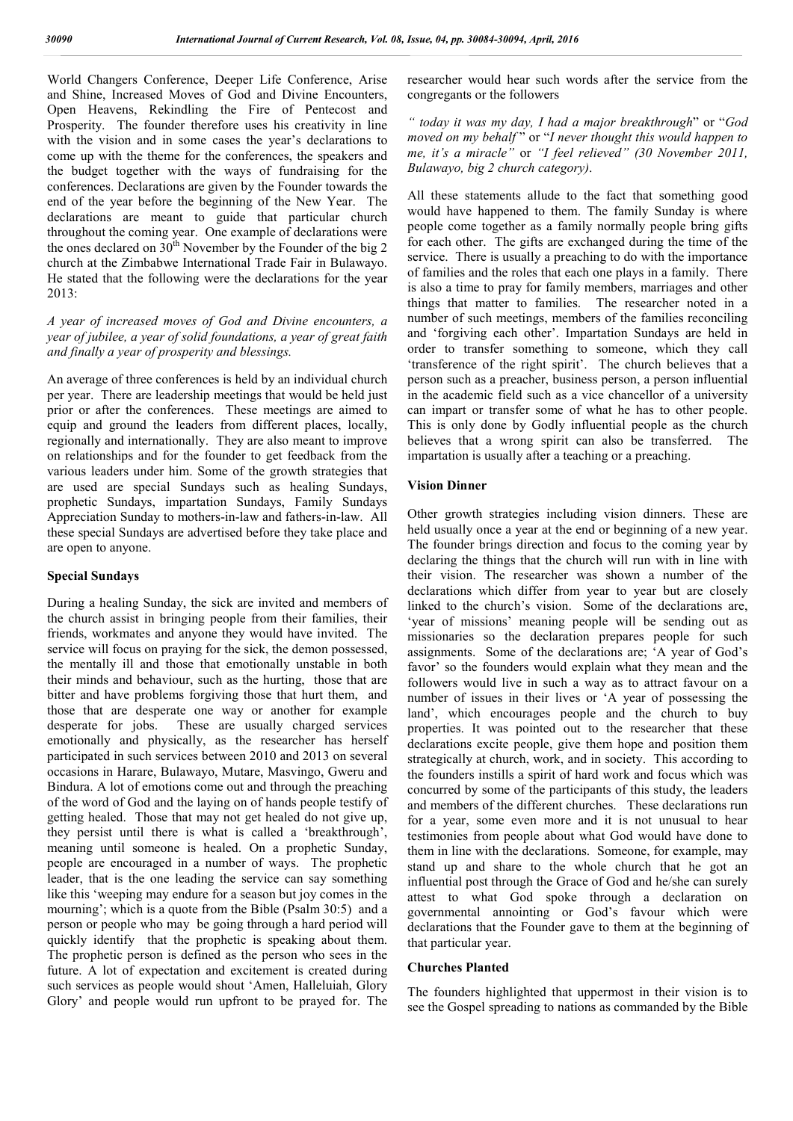World Changers Conference, Deeper Life Conference, Arise and Shine, Increased Moves of God and Divine Encounters, Open Heavens, Rekindling the Fire of Pentecost and Prosperity. The founder therefore uses his creativity in line with the vision and in some cases the year's declarations to come up with the theme for the conferences, the speakers and the budget together with the ways of fundraising for the conferences. Declarations are given by the Founder towards the end of the year before the beginning of the New Year. The declarations are meant to guide that particular church throughout the coming year. One example of declarations were the ones declared on  $30<sup>th</sup>$  November by the Founder of the big 2 church at the Zimbabwe International Trade Fair in Bulawayo. He stated that the following were the declarations for the year 2013:

## *A year of increased moves of God and Divine encounters, a year of jubilee, a year of solid foundations, a year of great faith and finally a year of prosperity and blessings.*

An average of three conferences is held by an individual church per year. There are leadership meetings that would be held just prior or after the conferences. These meetings are aimed to equip and ground the leaders from different places, locally, regionally and internationally. They are also meant to improve on relationships and for the founder to get feedback from the various leaders under him. Some of the growth strategies that are used are special Sundays such as healing Sundays, prophetic Sundays, impartation Sundays, Family Sundays Appreciation Sunday to mothers-in-law and fathers-in-law. All these special Sundays are advertised before they take place and are open to anyone.

## **Special Sundays**

During a healing Sunday, the sick are invited and members of the church assist in bringing people from their families, their friends, workmates and anyone they would have invited. The service will focus on praying for the sick, the demon possessed, the mentally ill and those that emotionally unstable in both their minds and behaviour, such as the hurting, those that are bitter and have problems forgiving those that hurt them, and those that are desperate one way or another for example desperate for jobs. These are usually charged services These are usually charged services emotionally and physically, as the researcher has herself participated in such services between 2010 and 2013 on several occasions in Harare, Bulawayo, Mutare, Masvingo, Gweru and Bindura. A lot of emotions come out and through the preaching of the word of God and the laying on of hands people testify of getting healed. Those that may not get healed do not give up, they persist until there is what is called a 'breakthrough', meaning until someone is healed. On a prophetic Sunday, people are encouraged in a number of ways. The prophetic leader, that is the one leading the service can say something like this 'weeping may endure for a season but joy comes in the mourning'; which is a quote from the Bible (Psalm 30:5) and a person or people who may be going through a hard period will quickly identify that the prophetic is speaking about them. The prophetic person is defined as the person who sees in the future. A lot of expectation and excitement is created during such services as people would shout 'Amen, Halleluiah, Glory Glory' and people would run upfront to be prayed for. The researcher would hear such words after the service from the congregants or the followers

*" today it was my day, I had a major breakthrough*" or "*God moved on my behalf* " or "*I never thought this would happen to me, it's a miracle"* or *"I feel relieved" (30 November 2011, Bulawayo, big 2 church category)*.

All these statements allude to the fact that something good would have happened to them. The family Sunday is where people come together as a family normally people bring gifts for each other. The gifts are exchanged during the time of the service. There is usually a preaching to do with the importance of families and the roles that each one plays in a family. There is also a time to pray for family members, marriages and other things that matter to families. The researcher noted in a number of such meetings, members of the families reconciling and 'forgiving each other'. Impartation Sundays are held in order to transfer something to someone, which they call 'transference of the right spirit'. The church believes that a person such as a preacher, business person, a person influential in the academic field such as a vice chancellor of a university can impart or transfer some of what he has to other people. This is only done by Godly influential people as the church believes that a wrong spirit can also be transferred. The impartation is usually after a teaching or a preaching.

### **Vision Dinner**

Other growth strategies including vision dinners. These are held usually once a year at the end or beginning of a new year. The founder brings direction and focus to the coming year by declaring the things that the church will run with in line with their vision. The researcher was shown a number of the declarations which differ from year to year but are closely linked to the church's vision. Some of the declarations are, 'year of missions' meaning people will be sending out as missionaries so the declaration prepares people for such assignments. Some of the declarations are; 'A year of God's favor' so the founders would explain what they mean and the followers would live in such a way as to attract favour on a number of issues in their lives or 'A year of possessing the land', which encourages people and the church to buy properties. It was pointed out to the researcher that these declarations excite people, give them hope and position them strategically at church, work, and in society. This according to the founders instills a spirit of hard work and focus which was concurred by some of the participants of this study, the leaders and members of the different churches. These declarations run for a year, some even more and it is not unusual to hear testimonies from people about what God would have done to them in line with the declarations. Someone, for example, may stand up and share to the whole church that he got an influential post through the Grace of God and he/she can surely attest to what God spoke through a declaration on governmental annointing or God's favour which were declarations that the Founder gave to them at the beginning of that particular year.

## **Churches Planted**

The founders highlighted that uppermost in their vision is to see the Gospel spreading to nations as commanded by the Bible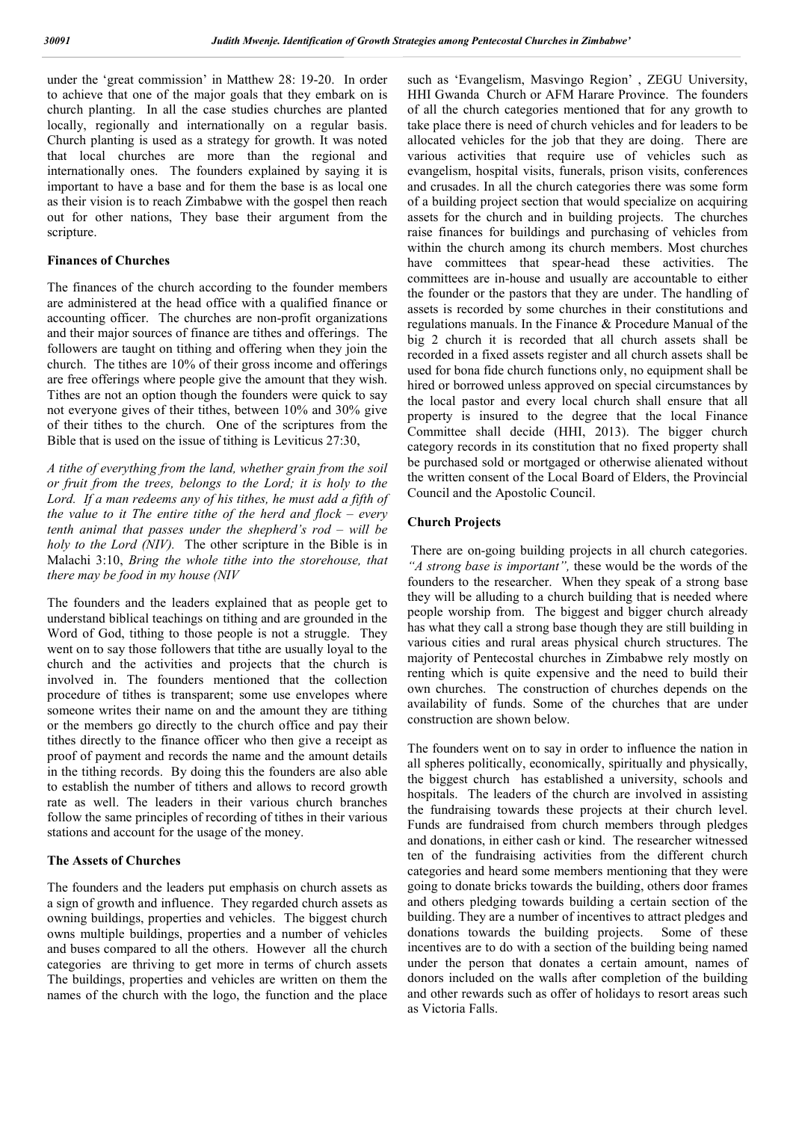under the 'great commission' in Matthew 28: 19-20. In order to achieve that one of the major goals that they embark on is church planting. In all the case studies churches are planted locally, regionally and internationally on a regular basis. Church planting is used as a strategy for growth. It was noted that local churches are more than the regional and internationally ones. The founders explained by saying it is important to have a base and for them the base is as local one as their vision is to reach Zimbabwe with the gospel then reach out for other nations, They base their argument from the scripture.

### **Finances of Churches**

The finances of the church according to the founder members are administered at the head office with a qualified finance or accounting officer. The churches are non-profit organizations and their major sources of finance are tithes and offerings. The followers are taught on tithing and offering when they join the church. The tithes are 10% of their gross income and offerings are free offerings where people give the amount that they wish. Tithes are not an option though the founders were quick to say not everyone gives of their tithes, between 10% and 30% give of their tithes to the church. One of the scriptures from the Bible that is used on the issue of tithing is Leviticus 27:30,

*A tithe of everything from the land, whether grain from the soil or fruit from the trees, belongs to the Lord; it is holy to the Lord. If a man redeems any of his tithes, he must add a fifth of the value to it The entire tithe of the herd and flock – every tenth animal that passes under the shepherd's rod – will be holy to the Lord (NIV).* The other scripture in the Bible is in Malachi 3:10, *Bring the whole tithe into the storehouse, that there may be food in my house (NIV*

The founders and the leaders explained that as people get to understand biblical teachings on tithing and are grounded in the Word of God, tithing to those people is not a struggle. They went on to say those followers that tithe are usually loyal to the church and the activities and projects that the church is involved in. The founders mentioned that the collection procedure of tithes is transparent; some use envelopes where someone writes their name on and the amount they are tithing or the members go directly to the church office and pay their tithes directly to the finance officer who then give a receipt as proof of payment and records the name and the amount details in the tithing records. By doing this the founders are also able to establish the number of tithers and allows to record growth rate as well. The leaders in their various church branches follow the same principles of recording of tithes in their various stations and account for the usage of the money.

### **The Assets of Churches**

The founders and the leaders put emphasis on church assets as a sign of growth and influence. They regarded church assets as owning buildings, properties and vehicles. The biggest church owns multiple buildings, properties and a number of vehicles and buses compared to all the others. However all the church categories are thriving to get more in terms of church assets The buildings, properties and vehicles are written on them the names of the church with the logo, the function and the place

such as 'Evangelism, Masvingo Region' , ZEGU University, HHI Gwanda Church or AFM Harare Province. The founders of all the church categories mentioned that for any growth to take place there is need of church vehicles and for leaders to be allocated vehicles for the job that they are doing. There are various activities that require use of vehicles such as evangelism, hospital visits, funerals, prison visits, conferences and crusades. In all the church categories there was some form of a building project section that would specialize on acquiring assets for the church and in building projects. The churches raise finances for buildings and purchasing of vehicles from within the church among its church members. Most churches have committees that spear-head these activities. The committees are in-house and usually are accountable to either the founder or the pastors that they are under. The handling of assets is recorded by some churches in their constitutions and regulations manuals. In the Finance & Procedure Manual of the big 2 church it is recorded that all church assets shall be recorded in a fixed assets register and all church assets shall be used for bona fide church functions only, no equipment shall be hired or borrowed unless approved on special circumstances by the local pastor and every local church shall ensure that all property is insured to the degree that the local Finance Committee shall decide (HHI, 2013). The bigger church category records in its constitution that no fixed property shall be purchased sold or mortgaged or otherwise alienated without the written consent of the Local Board of Elders, the Provincial Council and the Apostolic Council.

### **Church Projects**

There are on-going building projects in all church categories. *"A strong base is important",* these would be the words of the founders to the researcher. When they speak of a strong base they will be alluding to a church building that is needed where people worship from. The biggest and bigger church already has what they call a strong base though they are still building in various cities and rural areas physical church structures. The majority of Pentecostal churches in Zimbabwe rely mostly on renting which is quite expensive and the need to build their own churches. The construction of churches depends on the availability of funds. Some of the churches that are under construction are shown below.

The founders went on to say in order to influence the nation in all spheres politically, economically, spiritually and physically, the biggest church has established a university, schools and hospitals. The leaders of the church are involved in assisting the fundraising towards these projects at their church level. Funds are fundraised from church members through pledges and donations, in either cash or kind. The researcher witnessed ten of the fundraising activities from the different church categories and heard some members mentioning that they were going to donate bricks towards the building, others door frames and others pledging towards building a certain section of the building. They are a number of incentives to attract pledges and donations towards the building projects. Some of these incentives are to do with a section of the building being named under the person that donates a certain amount, names of donors included on the walls after completion of the building and other rewards such as offer of holidays to resort areas such as Victoria Falls.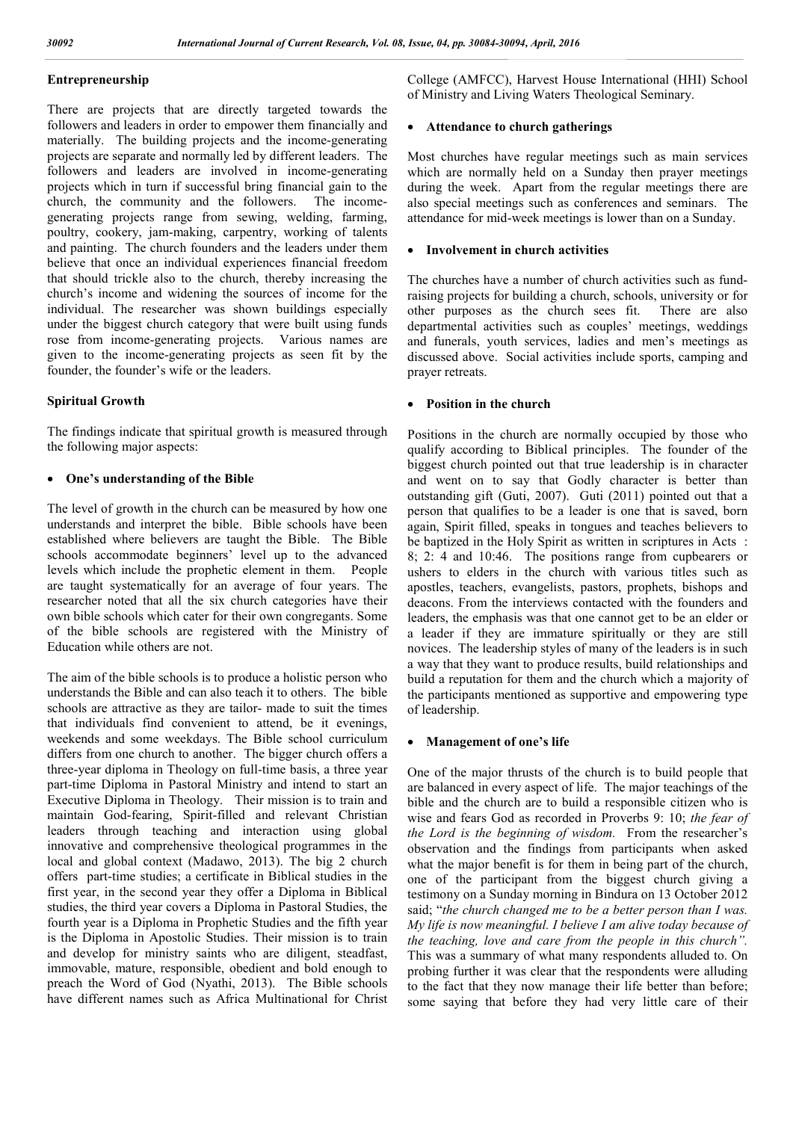### **Entrepreneurship**

There are projects that are directly targeted towards the followers and leaders in order to empower them financially and materially. The building projects and the income-generating projects are separate and normally led by different leaders. The followers and leaders are involved in income-generating projects which in turn if successful bring financial gain to the church, the community and the followers. The incomegenerating projects range from sewing, welding, farming, poultry, cookery, jam-making, carpentry, working of talents and painting. The church founders and the leaders under them believe that once an individual experiences financial freedom that should trickle also to the church, thereby increasing the church's income and widening the sources of income for the individual. The researcher was shown buildings especially under the biggest church category that were built using funds rose from income-generating projects. Various names are given to the income-generating projects as seen fit by the founder, the founder's wife or the leaders.

## **Spiritual Growth**

The findings indicate that spiritual growth is measured through the following major aspects:

## **One's understanding of the Bible**

The level of growth in the church can be measured by how one understands and interpret the bible. Bible schools have been established where believers are taught the Bible. The Bible schools accommodate beginners' level up to the advanced levels which include the prophetic element in them. People are taught systematically for an average of four years. The researcher noted that all the six church categories have their own bible schools which cater for their own congregants. Some of the bible schools are registered with the Ministry of Education while others are not.

The aim of the bible schools is to produce a holistic person who understands the Bible and can also teach it to others. The bible schools are attractive as they are tailor- made to suit the times that individuals find convenient to attend, be it evenings, weekends and some weekdays. The Bible school curriculum differs from one church to another. The bigger church offers a three-year diploma in Theology on full-time basis, a three year part-time Diploma in Pastoral Ministry and intend to start an Executive Diploma in Theology. Their mission is to train and maintain God-fearing, Spirit-filled and relevant Christian leaders through teaching and interaction using global innovative and comprehensive theological programmes in the local and global context (Madawo, 2013). The big 2 church offers part-time studies; a certificate in Biblical studies in the first year, in the second year they offer a Diploma in Biblical studies, the third year covers a Diploma in Pastoral Studies, the fourth year is a Diploma in Prophetic Studies and the fifth year is the Diploma in Apostolic Studies. Their mission is to train and develop for ministry saints who are diligent, steadfast, immovable, mature, responsible, obedient and bold enough to preach the Word of God (Nyathi, 2013). The Bible schools have different names such as Africa Multinational for Christ College (AMFCC), Harvest House International (HHI) School of Ministry and Living Waters Theological Seminary.

#### **Attendance to church gatherings**

Most churches have regular meetings such as main services which are normally held on a Sunday then prayer meetings during the week. Apart from the regular meetings there are also special meetings such as conferences and seminars. The attendance for mid-week meetings is lower than on a Sunday.

#### **Involvement in church activities**

The churches have a number of church activities such as fundraising projects for building a church, schools, university or for other purposes as the church sees fit. There are also departmental activities such as couples' meetings, weddings and funerals, youth services, ladies and men's meetings as discussed above. Social activities include sports, camping and prayer retreats.

## **Position in the church**

Positions in the church are normally occupied by those who qualify according to Biblical principles. The founder of the biggest church pointed out that true leadership is in character and went on to say that Godly character is better than outstanding gift (Guti, 2007). Guti (2011) pointed out that a person that qualifies to be a leader is one that is saved, born again, Spirit filled, speaks in tongues and teaches believers to be baptized in the Holy Spirit as written in scriptures in Acts : 8; 2: 4 and 10:46. The positions range from cupbearers or ushers to elders in the church with various titles such as apostles, teachers, evangelists, pastors, prophets, bishops and deacons. From the interviews contacted with the founders and leaders, the emphasis was that one cannot get to be an elder or a leader if they are immature spiritually or they are still novices. The leadership styles of many of the leaders is in such a way that they want to produce results, build relationships and build a reputation for them and the church which a majority of the participants mentioned as supportive and empowering type of leadership.

#### **Management of one's life**

One of the major thrusts of the church is to build people that are balanced in every aspect of life. The major teachings of the bible and the church are to build a responsible citizen who is wise and fears God as recorded in Proverbs 9: 10; *the fear of the Lord is the beginning of wisdom.* From the researcher's observation and the findings from participants when asked what the major benefit is for them in being part of the church, one of the participant from the biggest church giving a testimony on a Sunday morning in Bindura on 13 October 2012 said; "*the church changed me to be a better person than I was. My life is now meaningful. I believe I am alive today because of the teaching, love and care from the people in this church".* This was a summary of what many respondents alluded to. On probing further it was clear that the respondents were alluding to the fact that they now manage their life better than before; some saying that before they had very little care of their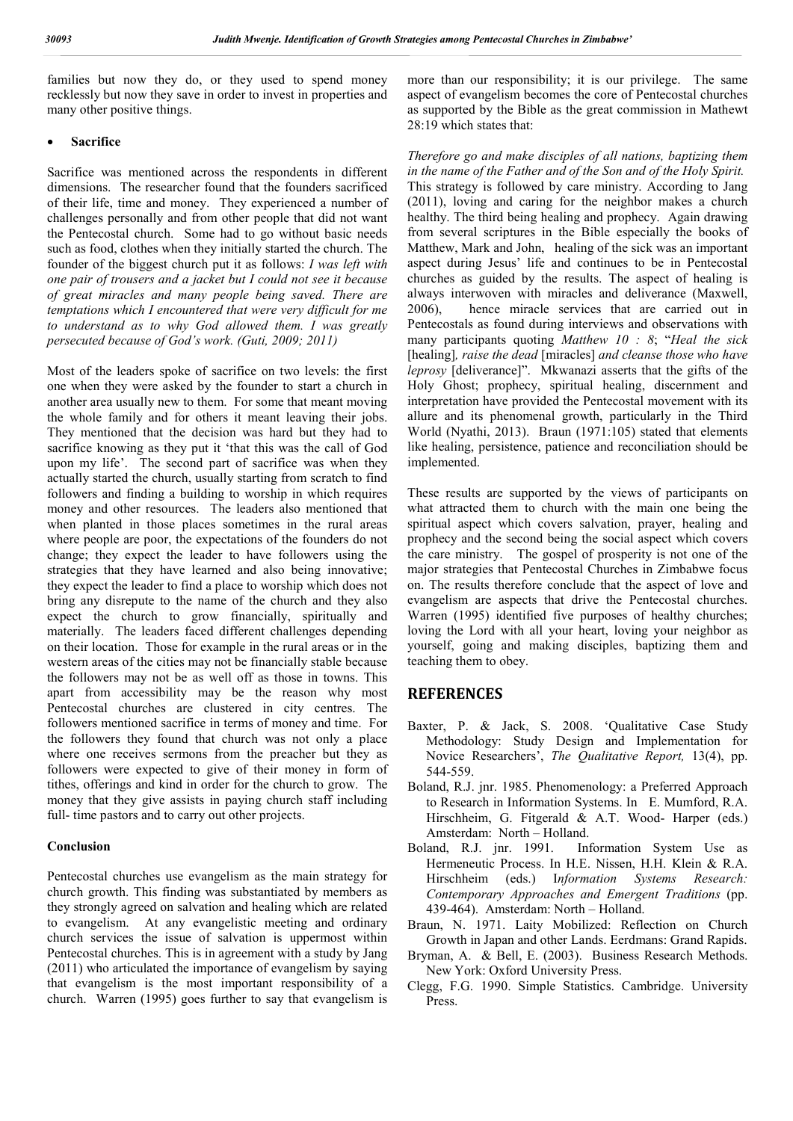families but now they do, or they used to spend money recklessly but now they save in order to invest in properties and many other positive things.

#### **Sacrifice**

Sacrifice was mentioned across the respondents in different dimensions. The researcher found that the founders sacrificed of their life, time and money. They experienced a number of challenges personally and from other people that did not want the Pentecostal church. Some had to go without basic needs such as food, clothes when they initially started the church. The founder of the biggest church put it as follows: *I was left with one pair of trousers and a jacket but I could not see it because of great miracles and many people being saved. There are temptations which I encountered that were very difficult for me to understand as to why God allowed them. I was greatly persecuted because of God's work. (Guti, 2009; 2011)*

Most of the leaders spoke of sacrifice on two levels: the first one when they were asked by the founder to start a church in another area usually new to them. For some that meant moving the whole family and for others it meant leaving their jobs. They mentioned that the decision was hard but they had to sacrifice knowing as they put it 'that this was the call of God upon my life'. The second part of sacrifice was when they actually started the church, usually starting from scratch to find followers and finding a building to worship in which requires money and other resources. The leaders also mentioned that when planted in those places sometimes in the rural areas where people are poor, the expectations of the founders do not change; they expect the leader to have followers using the strategies that they have learned and also being innovative; they expect the leader to find a place to worship which does not bring any disrepute to the name of the church and they also expect the church to grow financially, spiritually and materially. The leaders faced different challenges depending on their location. Those for example in the rural areas or in the western areas of the cities may not be financially stable because the followers may not be as well off as those in towns. This apart from accessibility may be the reason why most Pentecostal churches are clustered in city centres. The followers mentioned sacrifice in terms of money and time. For the followers they found that church was not only a place where one receives sermons from the preacher but they as followers were expected to give of their money in form of tithes, offerings and kind in order for the church to grow. The money that they give assists in paying church staff including full- time pastors and to carry out other projects.

#### **Conclusion**

Pentecostal churches use evangelism as the main strategy for church growth. This finding was substantiated by members as they strongly agreed on salvation and healing which are related to evangelism. At any evangelistic meeting and ordinary church services the issue of salvation is uppermost within Pentecostal churches. This is in agreement with a study by Jang (2011) who articulated the importance of evangelism by saying that evangelism is the most important responsibility of a church. Warren (1995) goes further to say that evangelism is

more than our responsibility; it is our privilege. The same aspect of evangelism becomes the core of Pentecostal churches as supported by the Bible as the great commission in Mathewt 28:19 which states that:

*Therefore go and make disciples of all nations, baptizing them in the name of the Father and of the Son and of the Holy Spirit.* This strategy is followed by care ministry. According to Jang (2011), loving and caring for the neighbor makes a church healthy. The third being healing and prophecy. Again drawing from several scriptures in the Bible especially the books of Matthew, Mark and John, healing of the sick was an important aspect during Jesus' life and continues to be in Pentecostal churches as guided by the results. The aspect of healing is always interwoven with miracles and deliverance (Maxwell, 2006), hence miracle services that are carried out in Pentecostals as found during interviews and observations with many participants quoting *Matthew 10 : 8*; "*Heal the sick*  [healing]*, raise the dead* [miracles] *and cleanse those who have leprosy* [deliverance]". Mkwanazi asserts that the gifts of the Holy Ghost; prophecy, spiritual healing, discernment and interpretation have provided the Pentecostal movement with its allure and its phenomenal growth, particularly in the Third World (Nyathi, 2013). Braun (1971:105) stated that elements like healing, persistence, patience and reconciliation should be implemented.

These results are supported by the views of participants on what attracted them to church with the main one being the spiritual aspect which covers salvation, prayer, healing and prophecy and the second being the social aspect which covers the care ministry. The gospel of prosperity is not one of the major strategies that Pentecostal Churches in Zimbabwe focus on. The results therefore conclude that the aspect of love and evangelism are aspects that drive the Pentecostal churches. Warren (1995) identified five purposes of healthy churches; loving the Lord with all your heart, loving your neighbor as yourself, going and making disciples, baptizing them and teaching them to obey.

## **REFERENCES**

- Baxter, P. & Jack, S. 2008. 'Qualitative Case Study Methodology: Study Design and Implementation for Novice Researchers', *The Qualitative Report,* 13(4), pp. 544-559.
- Boland, R.J. jnr. 1985. Phenomenology: a Preferred Approach to Research in Information Systems. In E. Mumford, R.A. Hirschheim, G. Fitgerald & A.T. Wood- Harper (eds.) Amsterdam: North – Holland.
- Boland, R.J. jnr. 1991. Information System Use as Hermeneutic Process. In H.E. Nissen, H.H. Klein & R.A. Hirschheim (eds.) I*nformation Systems Research: Contemporary Approaches and Emergent Traditions* (pp. 439-464). Amsterdam: North – Holland.
- Braun, N. 1971. Laity Mobilized: Reflection on Church Growth in Japan and other Lands. Eerdmans: Grand Rapids.
- Bryman, A. & Bell, E. (2003). Business Research Methods. New York: Oxford University Press.
- Clegg, F.G. 1990. Simple Statistics. Cambridge. University Press.